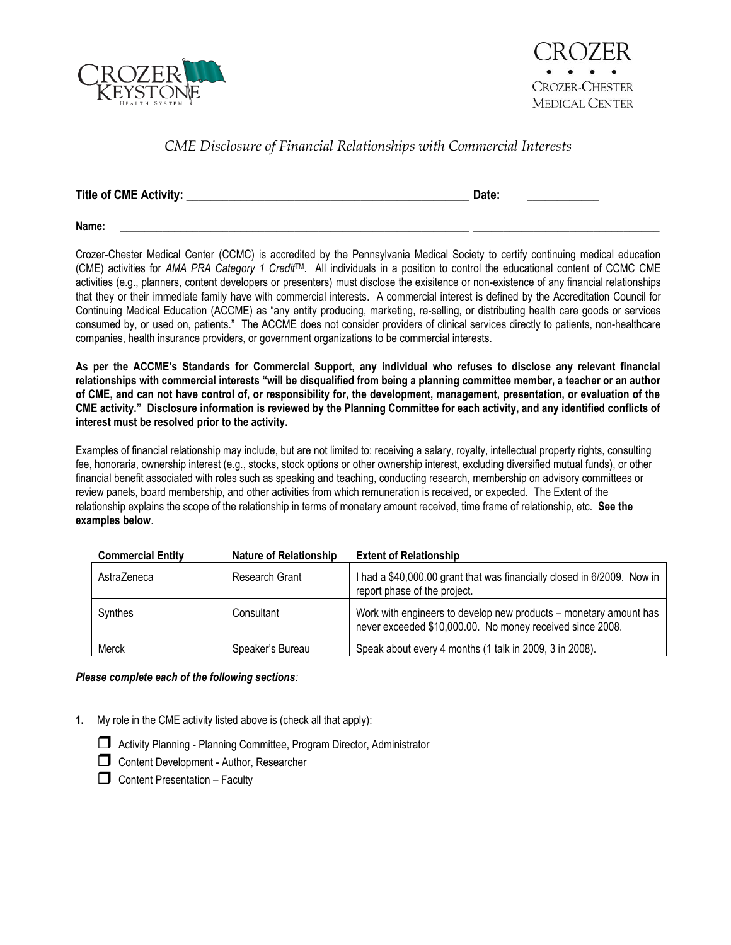



## *CME Disclosure of Financial Relationships with Commercial Interests*

| Title of CME Activity: | Date: |  |
|------------------------|-------|--|
|                        |       |  |

**Name:** \_\_\_\_\_\_\_\_\_\_\_\_\_\_\_\_\_\_\_\_\_\_\_\_\_\_\_\_\_\_\_\_\_\_\_\_\_\_\_\_\_\_\_\_\_\_\_\_\_\_\_\_\_\_\_\_\_\_ \_\_\_\_\_\_\_\_\_\_\_\_\_\_\_\_\_\_\_\_\_\_\_\_\_\_\_\_\_\_\_

Crozer-Chester Medical Center (CCMC) is accredited by the Pennsylvania Medical Society to certify continuing medical education (CME) activities for *AMA PRA Category 1 Credit*TM. All individuals in a position to control the educational content of CCMC CME activities (e.g., planners, content developers or presenters) must disclose the exisitence or non-existence of any financial relationships that they or their immediate family have with commercial interests. A commercial interest is defined by the Accreditation Council for Continuing Medical Education (ACCME) as "any entity producing, marketing, re-selling, or distributing health care goods or services consumed by, or used on, patients." The ACCME does not consider providers of clinical services directly to patients, non-healthcare companies, health insurance providers, or government organizations to be commercial interests.

**As per the ACCME's Standards for Commercial Support, any individual who refuses to disclose any relevant financial relationships with commercial interests "will be disqualified from being a planning committee member, a teacher or an author of CME, and can not have control of, or responsibility for, the development, management, presentation, or evaluation of the CME activity." Disclosure information is reviewed by the Planning Committee for each activity, and any identified conflicts of interest must be resolved prior to the activity.**

Examples of financial relationship may include, but are not limited to: receiving a salary, royalty, intellectual property rights, consulting fee, honoraria, ownership interest (e.g., stocks, stock options or other ownership interest, excluding diversified mutual funds), or other financial benefit associated with roles such as speaking and teaching, conducting research, membership on advisory committees or review panels, board membership, and other activities from which remuneration is received, or expected. The Extent of the relationship explains the scope of the relationship in terms of monetary amount received, time frame of relationship, etc. **See the examples below**.

| <b>Commercial Entity</b> | <b>Nature of Relationship</b> | <b>Extent of Relationship</b>                                                                                                  |
|--------------------------|-------------------------------|--------------------------------------------------------------------------------------------------------------------------------|
| AstraZeneca              | Research Grant                | I had a \$40,000.00 grant that was financially closed in 6/2009. Now in<br>report phase of the project.                        |
| Synthes                  | Consultant                    | Work with engineers to develop new products – monetary amount has<br>never exceeded \$10,000.00. No money received since 2008. |
| Merck                    | Speaker's Bureau              | Speak about every 4 months (1 talk in 2009, 3 in 2008).                                                                        |

## *Please complete each of the following sections:*

- **1.** My role in the CME activity listed above is (check all that apply):
	-
	- Activity Planning Planning Committee, Program Director, Administrator Content Development - Author, Researcher
	- $\Box$  Content Presentation Faculty